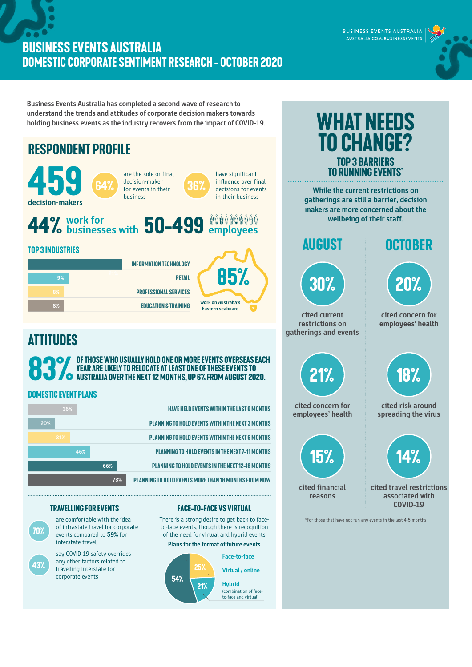## **BUSINESS EVENTS AUSTRALIA DOMESTIC CORPORATE SENTIMENT RESEARCH - OCTOBER 2020**

**Business Events Australia has completed a second wave of research to understand the trends and attitudes of corporate decision makers towards holding business events as the industry recovers from the impact of COVID-19.** 



**70%** are comfortable with the idea of intrastate travel for corporate events compared to **59%** for interstate travel

> say COVID-19 safety overrides any other factors related to travelling interstate for corporate events

**43%**

## **Travelling for events Face-to-face vs virtual**

**73% planning to hold events more than 18 months from now**

There is a strong desire to get back to faceto-face events, though there is recognition of the need for virtual and hybrid events

## **Plans for the format of future events**





BUSINESS EVENTS AUSTRALIA AUSTRALIA.COM/BUSINESSEVENTS